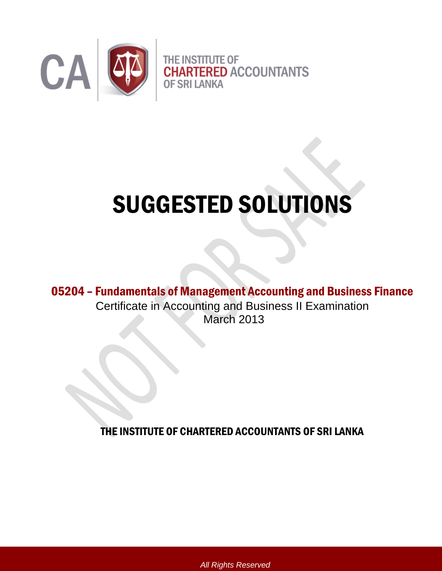

# SUGGESTED SOLUTIONS

05204 – Fundamentals of Management Accounting and Business Finance Certificate in Accounting and Business II Examination March 2013

THE INSTITUTE OF CHARTERED ACCOUNTANTS OF SRI LANKA

*All Rights Reserved*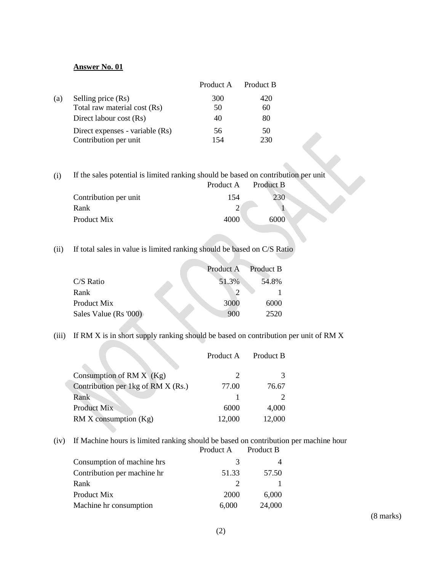|                                 | Product A | Product B |
|---------------------------------|-----------|-----------|
| Selling price (Rs)<br>(a)       | 300       | 420       |
| Total raw material cost (Rs)    | 50        | 60        |
| Direct labour cost (Rs)         | 40        | 80        |
| Direct expenses - variable (Rs) | 56        | 50        |
| Contribution per unit           | 154       | 230       |

(i) If the sales potential is limited ranking should be based on contribution per unit

|                       | Product A | Product B |
|-----------------------|-----------|-----------|
| Contribution per unit | 154       |           |
| Rank                  |           |           |
| Product Mix           | 4000      | 6000      |
|                       |           |           |

(ii) If total sales in value is limited ranking should be based on C/S Ratio

|                       | Product A | Product B |
|-----------------------|-----------|-----------|
| $C/S$ Ratio           | 51.3%     | 54.8%     |
| Rank                  |           | ↑         |
| Product Mix           | 3000      | 6000      |
| Sales Value (Rs '000) | 900       | 2520      |

(iii) If RM X is in short supply ranking should be based on contribution per unit of RM X

|                                    | Product A | Product B |
|------------------------------------|-----------|-----------|
|                                    |           |           |
| Consumption of RM $X$ (Kg)         |           |           |
| Contribution per 1kg of RM X (Rs.) | 77.00     | 76.67     |
| Rank                               |           |           |
| Product Mix                        | 6000      | 4,000     |
| RM X consumption (Kg)              | 12,000    | 12,000    |

(iv) If Machine hours is limited ranking should be based on contribution per machine hour Product B

| Consumption of machine hrs  | 3     |        |
|-----------------------------|-------|--------|
| Contribution per machine hr | 51.33 | 57.50  |
| Rank                        |       |        |
| Product Mix                 | 2000  | 6,000  |
| Machine hr consumption      | 6,000 | 24,000 |

(8 marks)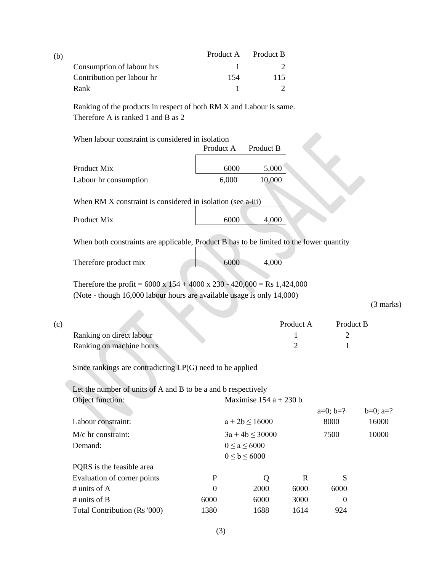| (b) |                                                                                                           | Product A | – Product B |
|-----|-----------------------------------------------------------------------------------------------------------|-----------|-------------|
|     | Consumption of labour hrs                                                                                 |           |             |
|     | Contribution per labour hr                                                                                | 154       | 115         |
|     | Rank                                                                                                      |           |             |
|     | Ranking of the products in respect of both RM X and Labour is same.<br>Therefore A is ranked 1 and B as 2 |           |             |

When labour constraint is considered in isolation

|                       | Product A | Product B |  |
|-----------------------|-----------|-----------|--|
| Product Mix           | 6000      | 5,000     |  |
| Labour hr consumption | 6.000     | 10,000    |  |

When RM X constraint is considered in isolation (see  $a$ -iii)

| Product Mix | 6000 | 4,000 |
|-------------|------|-------|
|             |      |       |

When both constraints are applicable, Product B has to be limited to the lower quantity

| Therefore product mix | 6000 | 4,000 |  |
|-----------------------|------|-------|--|
|                       |      |       |  |

Therefore the profit =  $6000 \times 154 + 4000 \times 230 - 420,000 = \text{Rs } 1,424,000$ (Note - though 16,000 labour hours are available usage is only 14,000)

(3 marks)

| (c) |                          | Product A | Product B |
|-----|--------------------------|-----------|-----------|
|     | Ranking on direct labour |           |           |
|     | Ranking on machine hours |           |           |

Since rankings are contradicting LP(G) need to be applied

Let the number of units of A and B to be a and b respectively

| Object function:             |                     | Maximise $154a + 230b$ |      |            |             |
|------------------------------|---------------------|------------------------|------|------------|-------------|
|                              |                     |                        |      | $a=0; b=?$ | $b=0$ ; a=? |
| Labour constraint:           |                     | $a + 2b \le 16000$     |      | 8000       | 16000       |
| $M/c$ hr constraint:         | $3a + 4b \le 30000$ |                        | 7500 | 10000      |             |
| Demand:                      |                     | $0 \le a \le 6000$     |      |            |             |
|                              |                     | $0 \leq b \leq 6000$   |      |            |             |
| PQRS is the feasible area    |                     |                        |      |            |             |
| Evaluation of corner points  | P                   | Q                      | R    | S          |             |
| # units of $\overline{A}$    | $\theta$            | 2000                   | 6000 | 6000       |             |
| # units of $B$               | 6000                | 6000                   | 3000 | $\theta$   |             |
| Total Contribution (Rs '000) | 1380                | 1688                   | 1614 | 924        |             |
|                              |                     |                        |      |            |             |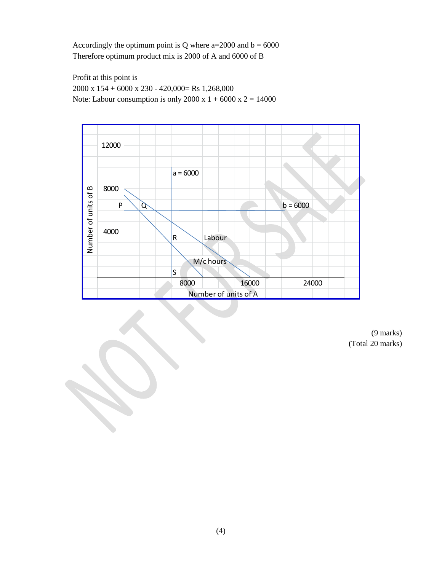Accordingly the optimum point is Q where  $a=2000$  and  $b = 6000$ Therefore optimum product mix is 2000 of A and 6000 of B

Profit at this point is 2000 x 154 + 6000 x 230 - 420,000= Rs 1,268,000 Note: Labour consumption is only 2000 x  $1 + 6000$  x  $2 = 14000$ 



(9 marks) (Total 20 marks)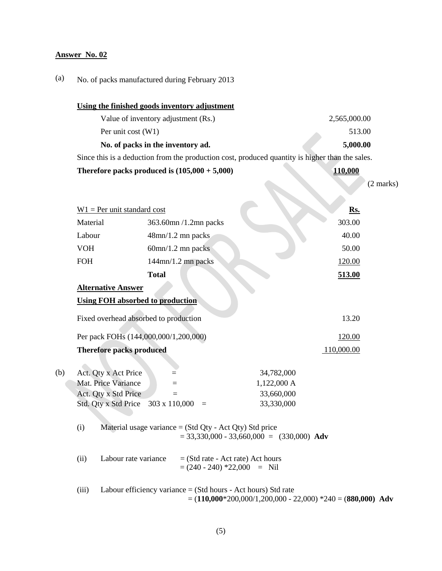# (a) No. of packs manufactured during February 2013

|                                 | Using the finished goods inventory adjustment                                                  |                                                                                                 |  |
|---------------------------------|------------------------------------------------------------------------------------------------|-------------------------------------------------------------------------------------------------|--|
|                                 | Value of inventory adjustment (Rs.)                                                            | 2,565,000.00                                                                                    |  |
|                                 | Per unit cost (W1)                                                                             | 513.00                                                                                          |  |
|                                 | No. of packs in the inventory ad.                                                              | 5,000.00                                                                                        |  |
|                                 |                                                                                                | Since this is a deduction from the production cost, produced quantity is higher than the sales. |  |
|                                 | Therefore packs produced is $(105,000 + 5,000)$                                                | 110,000                                                                                         |  |
|                                 |                                                                                                | $(2 \text{ marks})$                                                                             |  |
|                                 |                                                                                                |                                                                                                 |  |
| $W1$ = Per unit standard cost   |                                                                                                | Rs.                                                                                             |  |
| Material                        | 363.60mn /1.2mn packs                                                                          | 303.00                                                                                          |  |
| Labour                          | 48mn/1.2 mn packs                                                                              | 40.00                                                                                           |  |
| <b>VOH</b>                      | $60$ mn/1.2 mn packs                                                                           | 50.00                                                                                           |  |
| <b>FOH</b>                      | $144$ mn/1.2 mn packs                                                                          | 120.00                                                                                          |  |
|                                 | <b>Total</b>                                                                                   | 513.00                                                                                          |  |
| <b>Alternative Answer</b>       |                                                                                                |                                                                                                 |  |
|                                 | <b>Using FOH absorbed to production</b>                                                        |                                                                                                 |  |
|                                 | Fixed overhead absorbed to production                                                          | 13.20                                                                                           |  |
|                                 | Per pack FOHs (144,000,000/1,200,000)                                                          | 120.00                                                                                          |  |
| <b>Therefore packs produced</b> |                                                                                                | 110,000.00                                                                                      |  |
|                                 |                                                                                                |                                                                                                 |  |
| Act. Qty x Act Price            |                                                                                                | 34,782,000                                                                                      |  |
| Mat. Price Variance             | $=$                                                                                            | 1,122,000 A                                                                                     |  |
| Act. Qty x Std Price            | $=$                                                                                            | 33,660,000                                                                                      |  |
| Std. Qty x Std Price            | 303 x 110,000<br>$\equiv$                                                                      | 33,330,000                                                                                      |  |
| (i)                             | Material usage variance $=$ (Std Qty - Act Qty) Std price                                      | $= 33,330,000 - 33,660,000 = (330,000)$ Adv                                                     |  |
| (ii)                            | Labour rate variance<br>$=$ (Std rate - Act rate) Act hours<br>$=(240 - 240) * 22{,}000 =$ Nil |                                                                                                 |  |
| (iii)                           | Labour efficiency variance $=$ (Std hours - Act hours) Std rate                                | $= (110,000*200,000/1,200,000 - 22,000) *240 = (880,000)$ Adv                                   |  |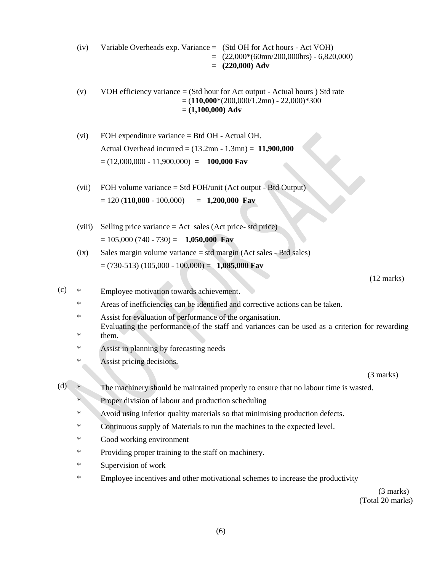- (iv) Variable Overheads exp. Variance = (Std OH for Act hours Act VOH)  $= (22,000*(60 \text{mn}/200,000 \text{hrs}) - 6,820,000)$  $= (220,000)$  **Adv**
- (v) VOH efficiency variance  $=$  (Std hour for Act output Actual hours ) Std rate  $= (110,000*(200,000/1.2mn) - 22,000)*300$ = **(1,100,000) Adv**
- (vi) FOH expenditure variance = Btd OH Actual OH. Actual Overhead incurred = (13.2mn - 1.3mn) = **11,900,000**   $= (12,000,000 - 11,900,000) = 100,000$  Fav
- (vii) FOH volume variance = Std FOH/unit (Act output Btd Output)  $= 120 (110,000 - 100,000) = 1,200,000$  Fav
- (viii) Selling price variance = Act sales (Act price- std price) = 105,000 (740 - 730) = **1,050,000 Fav**
- (ix) Sales margin volume variance = std margin (Act sales Btd sales) = (730-513) (105,000 - 100,000) = **1,085,000 Fav**

(12 marks)

- (c) \* Employee motivation towards achievement.
	- \* Areas of inefficiencies can be identified and corrective actions can be taken.
	- \* Assist for evaluation of performance of the organisation. \* Evaluating the performance of the staff and variances can be used as a criterion for rewarding them.
	- \* Assist in planning by forecasting needs
	- \* Assist pricing decisions.

(3 marks)

- (d) \* The machinery should be maintained properly to ensure that no labour time is wasted.
	- \* Proper division of labour and production scheduling
	- \* Avoid using inferior quality materials so that minimising production defects.
	- \* Continuous supply of Materials to run the machines to the expected level.
	- \* Good working environment
	- \* Providing proper training to the staff on machinery.
	- \* Supervision of work
	- \* Employee incentives and other motivational schemes to increase the productivity

(3 marks) (Total 20 marks)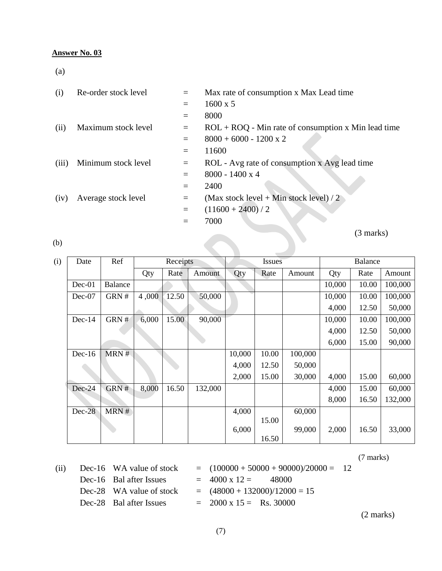(a)

| (i)   | Re-order stock level | $=$ | Max rate of consumption x Max Lead time               |
|-------|----------------------|-----|-------------------------------------------------------|
|       |                      | $=$ | $1600 \times 5$                                       |
|       |                      | $=$ | 8000                                                  |
| (ii)  | Maximum stock level  | $=$ | $ROL + ROQ$ - Min rate of consumption x Min lead time |
|       |                      |     | $8000 + 6000 - 1200 \times 2$                         |
|       |                      | $=$ | 11600                                                 |
| (iii) | Minimum stock level  | $=$ | ROL - Avg rate of consumption x Avg lead time         |
|       |                      | $=$ | $8000 - 1400 \times 4$                                |
|       |                      | $=$ | 2400                                                  |
| (iv)  | Average stock level  | $=$ | (Max stock level + Min stock level) / 2               |
|       |                      |     | $(11600 + 2400) / 2$                                  |
|       |                      | $=$ | 7000                                                  |
|       |                      |     | (3 marks)                                             |
| (b)   |                      |     |                                                       |

(b)

| (b) |          |                |       |          |         |        |        |         |        | $\sqrt{2}$ mans |         |  |
|-----|----------|----------------|-------|----------|---------|--------|--------|---------|--------|-----------------|---------|--|
| (i) | Date     | Ref            |       | Receipts |         |        | Issues |         |        | <b>Balance</b>  |         |  |
|     |          |                | Qty   | Rate     | Amount  | Qty    | Rate   | Amount  | Qty    | Rate            | Amount  |  |
|     | $Dec-01$ | <b>Balance</b> |       |          |         |        |        |         | 10,000 | 10.00           | 100,000 |  |
|     | $Dec-07$ | GRN#           | 4,000 | 12.50    | 50,000  |        |        |         | 10,000 | 10.00           | 100,000 |  |
|     |          |                |       |          |         |        |        |         | 4,000  | 12.50           | 50,000  |  |
|     | Dec-14   | GRN #          | 6,000 | 15.00    | 90,000  |        |        |         | 10,000 | 10.00           | 100,000 |  |
|     |          |                |       |          |         |        |        |         | 4,000  | 12.50           | 50,000  |  |
|     |          |                |       |          |         |        |        |         | 6,000  | 15.00           | 90,000  |  |
|     | $Dec-16$ | MRN#           |       |          |         | 10,000 | 10.00  | 100,000 |        |                 |         |  |
|     |          |                |       |          |         | 4,000  | 12.50  | 50,000  |        |                 |         |  |
|     |          |                |       |          |         | 2,000  | 15.00  | 30,000  | 4,000  | 15.00           | 60,000  |  |
|     | Dec-24   | GRN#           | 8,000 | 16.50    | 132,000 |        |        |         | 4,000  | 15.00           | 60,000  |  |
|     |          |                |       |          |         |        |        |         | 8,000  | 16.50           | 132,000 |  |
|     | $Dec-28$ | MRN#           |       |          |         | 4,000  |        | 60,000  |        |                 |         |  |
|     |          |                |       |          |         |        | 15.00  |         |        |                 |         |  |
|     |          |                |       |          |         | 6,000  | 16.50  | 99,000  | 2,000  | 16.50           | 33,000  |  |

(7 marks)

| (ii) | Dec-16 WA value of stock | $= (100000 + 50000 + 90000)/20000 = 12$ |  |
|------|--------------------------|-----------------------------------------|--|
|      | Dec-16 Bal after Issues  | $= 4000 \times 12 =$<br>- 48000         |  |
|      | Dec-28 WA value of stock | $=$ $(48000 + 132000)/12000 = 15$       |  |
|      | Dec-28 Bal after Issues  | $= 2000 \times 15 =$ Rs. 30000          |  |
|      |                          |                                         |  |

(2 marks)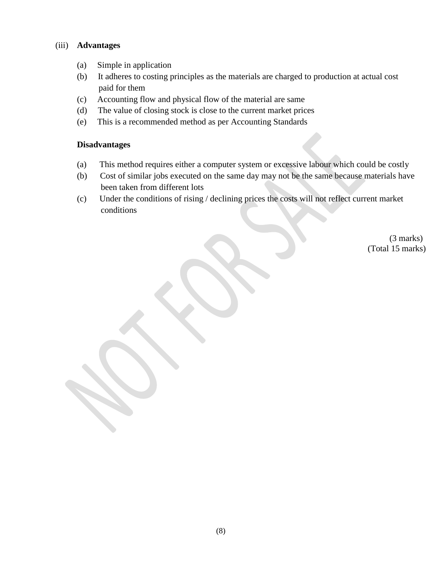#### (iii) **Advantages**

- (a) Simple in application
- (b) It adheres to costing principles as the materials are charged to production at actual cost paid for them
- (c) Accounting flow and physical flow of the material are same
- (d) The value of closing stock is close to the current market prices
- (e) This is a recommended method as per Accounting Standards

#### **Disadvantages**

- (a) This method requires either a computer system or excessive labour which could be costly
- (b) Cost of similar jobs executed on the same day may not be the same because materials have been taken from different lots
- (c) Under the conditions of rising / declining prices the costs will not reflect current market conditions

 (3 marks) (Total 15 marks)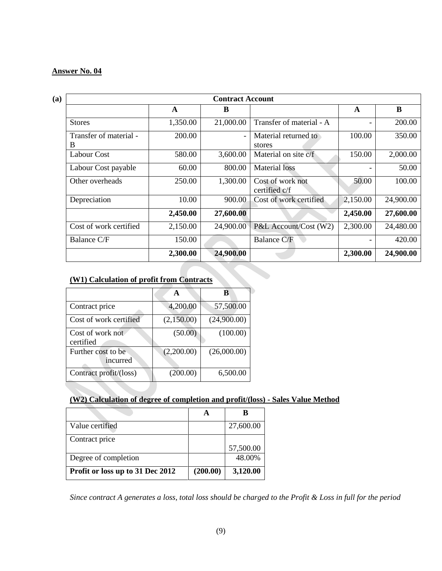| <b>Contract Account</b>      |                                                         |           |                                |          |           |  |  |  |  |
|------------------------------|---------------------------------------------------------|-----------|--------------------------------|----------|-----------|--|--|--|--|
|                              | A                                                       | B         |                                | A        | B         |  |  |  |  |
| <b>Stores</b>                | 1,350.00                                                | 21,000.00 | Transfer of material - A       |          | 200.00    |  |  |  |  |
| Transfer of material -<br>B  | 200.00                                                  |           | Material returned to<br>stores | 100.00   | 350.00    |  |  |  |  |
| <b>Labour Cost</b>           | 580.00                                                  | 3,600.00  | Material on site c/f           | 150.00   | 2,000.00  |  |  |  |  |
| 60.00<br>Labour Cost payable |                                                         | 800.00    | <b>Material</b> loss           |          | 50.00     |  |  |  |  |
| Other overheads              | 250.00<br>1,300.00<br>Cost of work not<br>certified c/f |           | 50.00                          | 100.00   |           |  |  |  |  |
| Depreciation                 | 10.00                                                   | 900.00    | Cost of work certified         | 2,150.00 | 24,900.00 |  |  |  |  |
|                              | 2,450.00                                                | 27,600.00 |                                | 2,450.00 | 27,600.00 |  |  |  |  |
| Cost of work certified       | 2,150.00                                                | 24,900.00 | P&L Account/Cost (W2)          | 2,300.00 | 24,480.00 |  |  |  |  |
| Balance C/F                  | 150.00                                                  |           | <b>Balance C/F</b>             |          | 420.00    |  |  |  |  |
|                              | 2,300.00                                                | 24,900.00 |                                | 2,300.00 | 24,900.00 |  |  |  |  |

## **(W1) Calculation of profit from Contracts**

|                                | A          | в           |
|--------------------------------|------------|-------------|
| Contract price                 | 4,200.00   | 57,500.00   |
| Cost of work certified         | (2,150.00) | (24,900.00) |
| Cost of work not<br>certified  | (50.00)    | (100.00)    |
| Further cost to be<br>incurred | (2,200.00) | (26,000.00) |
| Contract profit/(loss)         | (200.00)   | 6,500.00    |

## **(W2) Calculation of degree of completion and profit/(loss) - Sales Value Method**

| Value certified                  |          | 27,600.00 |
|----------------------------------|----------|-----------|
| Contract price                   |          |           |
|                                  |          | 57,500.00 |
| Degree of completion             |          | 48.00%    |
| Profit or loss up to 31 Dec 2012 | (200.00) | 3,120.00  |

*Since contract A generates a loss, total loss should be charged to the Profit & Loss in full for the period*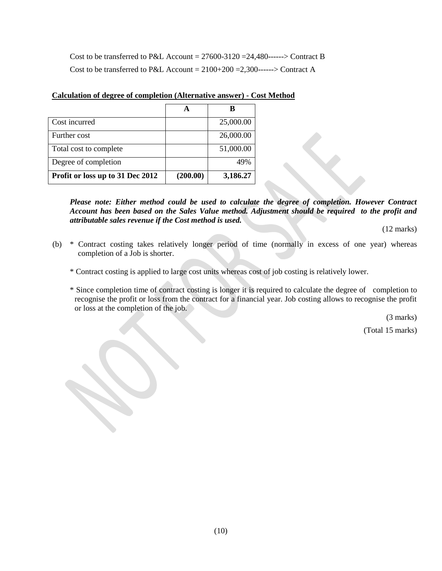Cost to be transferred to P&L Account =  $27600-3120 = 24.480$ ------> Contract B Cost to be transferred to P&L Account =  $2100+200$  =2,300------> Contract A

| Cost incurred                    |          | 25,000.00 |
|----------------------------------|----------|-----------|
| Further cost                     |          | 26,000.00 |
| Total cost to complete           |          | 51,000.00 |
| Degree of completion             |          | 49%       |
| Profit or loss up to 31 Dec 2012 | (200.00) | 3,186.27  |

#### **Calculation of degree of completion (Alternative answer) - Cost Method**

*Please note: Either method could be used to calculate the degree of completion. However Contract Account has been based on the Sales Value method. Adjustment should be required to the profit and attributable sales revenue if the Cost method is used.*

(12 marks)

- (b) \* Contract costing takes relatively longer period of time (normally in excess of one year) whereas completion of a Job is shorter.
	- \* Contract costing is applied to large cost units whereas cost of job costing is relatively lower.
	- \* Since completion time of contract costing is longer it is required to calculate the degree of completion to recognise the profit or loss from the contract for a financial year. Job costing allows to recognise the profit or loss at the completion of the job.

(3 marks)

(Total 15 marks)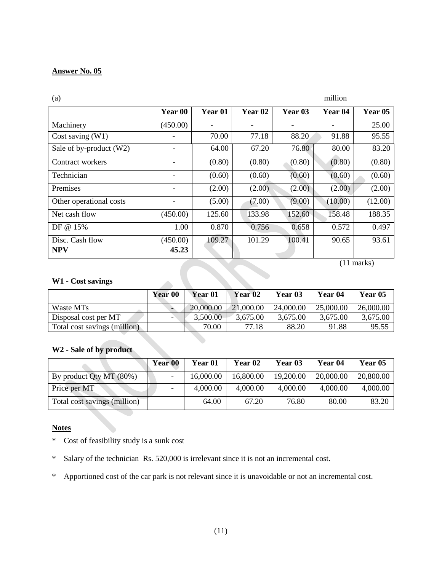| (a)                     |          |                    |                    |         | million            |         |
|-------------------------|----------|--------------------|--------------------|---------|--------------------|---------|
|                         | Year 00  | Year <sub>01</sub> | Year <sub>02</sub> | Year 03 | Year <sub>04</sub> | Year 05 |
| Machinery               | (450.00) |                    |                    |         |                    | 25.00   |
| Cost saving $(W1)$      |          | 70.00              | 77.18              | 88.20   | 91.88              | 95.55   |
| Sale of by-product (W2) |          | 64.00              | 67.20              | 76.80   | 80.00              | 83.20   |
| Contract workers        |          | (0.80)             | (0.80)             | (0.80)  | (0.80)             | (0.80)  |
| Technician              |          | (0.60)             | (0.60)             | (0.60)  | (0.60)             | (0.60)  |
| Premises                |          | (2.00)             | (2.00)             | (2.00)  | (2.00)             | (2.00)  |
| Other operational costs |          | (5.00)             | (7.00)             | (9.00)  | (10.00)            | (12.00) |
| Net cash flow           | (450.00) | 125.60             | 133.98             | 152.60  | 158.48             | 188.35  |
| DF @ 15%                | 1.00     | 0.870              | 0.756              | 0.658   | 0.572              | 0.497   |
| Disc. Cash flow         | (450.00) | 109.27             | 101.29             | 100.41  | 90.65              | 93.61   |
| <b>NPV</b>              | 45.23    |                    |                    |         |                    |         |

(11 marks)

#### **W1 - Cost savings**

|                              | Year 00 | Year <sub>01</sub> | Year 02   | Year <sub>03</sub> | <b>Year 04</b> | Year 05   |
|------------------------------|---------|--------------------|-----------|--------------------|----------------|-----------|
| Waste MTs                    |         | 20,000.00          | 21,000.00 | 24,000.00          | 25,000.00      | 26,000.00 |
| Disposal cost per MT         |         | 3,500.00           | 3,675.00  | 3,675.00           | 3,675.00       | 3,675.00  |
| Total cost savings (million) |         | 70.00              | 77.18     | 88.20              | 91.88          | 95.55     |

## **W2 - Sale of by product**

|                              | Year 00 | Year 01   | Year <sub>02</sub> | Year 03   | Year 04   | Year 05   |
|------------------------------|---------|-----------|--------------------|-----------|-----------|-----------|
| By product Qty MT (80%)      |         | 16,000.00 | 16,800.00          | 19,200.00 | 20,000.00 | 20,800.00 |
| Price per MT                 |         | 4,000.00  | 4,000.00           | 4,000.00  | 4,000.00  | 4,000.00  |
| Total cost savings (million) |         | 64.00     | 67.20              | 76.80     | 80.00     | 83.20     |
|                              |         |           |                    |           |           |           |

#### **Notes**

- \* Cost of feasibility study is a sunk cost
- \* Salary of the technician Rs. 520,000 is irrelevant since it is not an incremental cost.
- \* Apportioned cost of the car park is not relevant since it is unavoidable or not an incremental cost.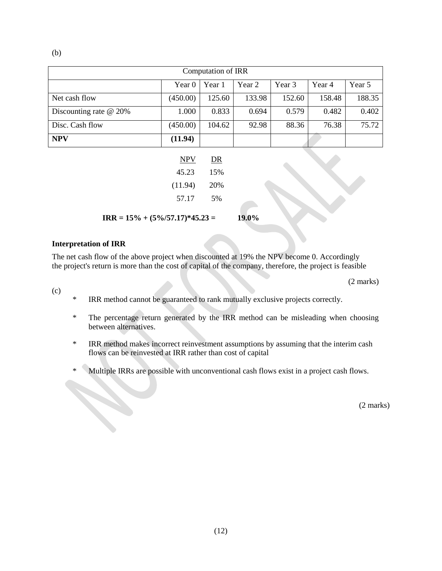| Computation of IRR       |          |        |        |        |        |        |  |  |  |
|--------------------------|----------|--------|--------|--------|--------|--------|--|--|--|
|                          | Year 0   | Year 1 | Year 2 | Year 3 | Year 4 | Year 5 |  |  |  |
| Net cash flow            | (450.00) | 125.60 | 133.98 | 152.60 | 158.48 | 188.35 |  |  |  |
| Discounting rate $@$ 20% | 1.000    | 0.833  | 0.694  | 0.579  | 0.482  | 0.402  |  |  |  |
| Disc. Cash flow          | (450.00) | 104.62 | 92.98  | 88.36  | 76.38  | 75.72  |  |  |  |
| <b>NPV</b>               | (11.94)  |        |        |        |        |        |  |  |  |

| DR   |
|------|
| 15%  |
| 20\% |
| 5%   |
|      |

**IRR** =  $15\% + (5\%/57.17)*45.23 = 19.0\%$ 

#### **Interpretation of IRR**

The net cash flow of the above project when discounted at 19% the NPV become 0. Accordingly the project's return is more than the cost of capital of the company, therefore, the project is feasible

(2 marks)

- (c)
- \* IRR method cannot be guaranteed to rank mutually exclusive projects correctly.
- \* The percentage return generated by the IRR method can be misleading when choosing between alternatives.
- \* IRR method makes incorrect reinvestment assumptions by assuming that the interim cash flows can be reinvested at IRR rather than cost of capital
- \* Multiple IRRs are possible with unconventional cash flows exist in a project cash flows.

(2 marks)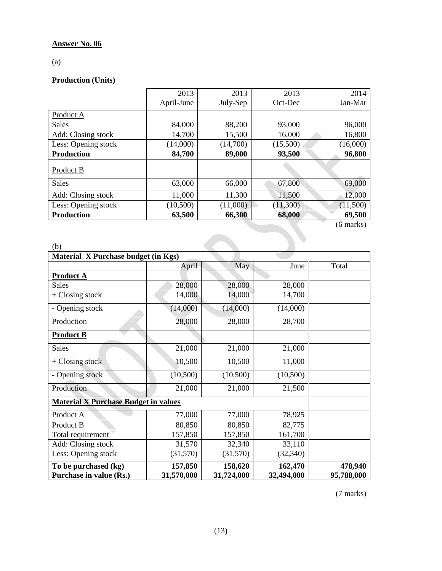(a)

## **Production (Units)**

|                     | 2013       | 2013     | 2013     | 2014                |
|---------------------|------------|----------|----------|---------------------|
|                     | April-June | July-Sep | Oct-Dec  | Jan-Mar             |
| Product A           |            |          |          |                     |
| <b>Sales</b>        | 84,000     | 88,200   | 93,000   | 96,000              |
| Add: Closing stock  | 14,700     | 15,500   | 16,000   | 16,800              |
| Less: Opening stock | (14,000)   | (14,700) | (15,500) | (16,000)            |
| <b>Production</b>   | 84,700     | 89,000   | 93,500   | 96,800              |
| Product B           |            |          |          |                     |
| <b>Sales</b>        | 63,000     | 66,000   | 67,800   | 69,000              |
| Add: Closing stock  | 11,000     | 11,300   | 11,500   | 12,000              |
| Less: Opening stock | (10,500)   | (11,000) | (11,300) | (11,500)            |
| <b>Production</b>   | 63,500     | 66,300   | 68,000   | 69,500              |
|                     |            |          |          | $(6 \text{ marks})$ |
|                     |            |          |          |                     |

|                                             |            |            |            | (6 marks)  |  |  |  |
|---------------------------------------------|------------|------------|------------|------------|--|--|--|
|                                             |            |            |            |            |  |  |  |
| (b)                                         |            |            |            |            |  |  |  |
| Material X Purchase budget (in Kgs)         |            |            |            |            |  |  |  |
|                                             | April      | May        | June       | Total      |  |  |  |
| <b>Product A</b>                            |            |            |            |            |  |  |  |
| <b>Sales</b>                                | 28,000     | 28,000     | 28,000     |            |  |  |  |
| $+$ Closing stock                           | 14,000     | 14,000     | 14,700     |            |  |  |  |
| - Opening stock                             | (14,000)   | (14,000)   | (14,000)   |            |  |  |  |
| Production                                  | 28,000     | 28,000     | 28,700     |            |  |  |  |
| <b>Product B</b>                            |            |            |            |            |  |  |  |
| <b>Sales</b>                                | 21,000     | 21,000     | 21,000     |            |  |  |  |
| $+$ Closing stock                           | 10,500     | 10,500     | 11,000     |            |  |  |  |
| - Opening stock                             | (10,500)   | (10,500)   | (10,500)   |            |  |  |  |
| Production                                  | 21,000     | 21,000     | 21,500     |            |  |  |  |
| <b>Material X Purchase Budget in values</b> |            |            |            |            |  |  |  |
| Product A                                   | 77,000     | 77,000     | 78,925     |            |  |  |  |
| Product B                                   | 80,850     | 80,850     | 82,775     |            |  |  |  |
| Total requirement                           | 157,850    | 157,850    | 161,700    |            |  |  |  |
| Add: Closing stock                          | 31,570     | 32,340     | 33,110     |            |  |  |  |
| Less: Opening stock                         | (31,570)   | (31,570)   | (32, 340)  |            |  |  |  |
| To be purchased (kg)                        | 157,850    | 158,620    | 162,470    | 478,940    |  |  |  |
| Purchase in value (Rs.)                     | 31,570,000 | 31,724,000 | 32,494,000 | 95,788,000 |  |  |  |

(7 marks)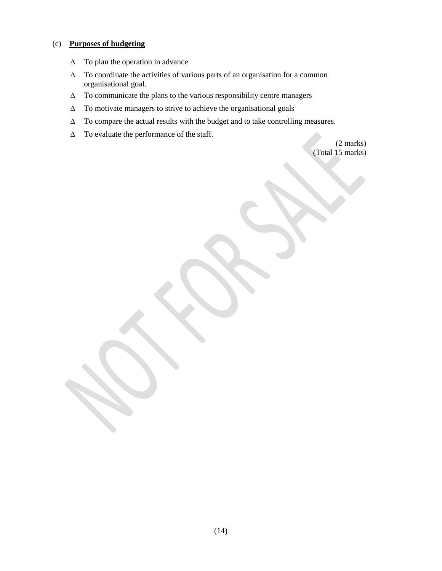#### (c) **Purposes of budgeting**

- ∆ To plan the operation in advance
- ∆ To coordinate the activities of various parts of an organisation for a common organisational goal.
- ∆ To communicate the plans to the various responsibility centre managers
- ∆ To motivate managers to strive to achieve the organisational goals
- ∆ To compare the actual results with the budget and to take controlling measures.
- ∆ To evaluate the performance of the staff.

(2 marks) (Total 15 marks)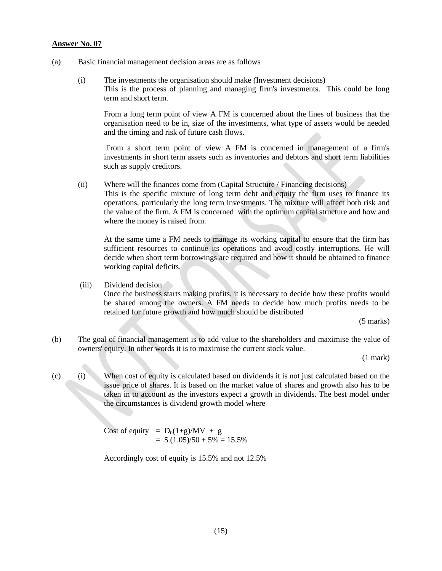- (a) Basic financial management decision areas are as follows
	- (i) The investments the organisation should make (Investment decisions) This is the process of planning and managing firm's investments. This could be long term and short term.

From a long term point of view A FM is concerned about the lines of business that the organisation need to be in, size of the investments, what type of assets would be needed and the timing and risk of future cash flows.

From a short term point of view A FM is concerned in management of a firm's investments in short term assets such as inventories and debtors and short term liabilities such as supply creditors.

(ii) Where will the finances come from (Capital Structure / Financing decisions) This is the specific mixture of long term debt and equity the firm uses to finance its operations, particularly the long term investments. The mixture will affect both risk and

the value of the firm. A FM is concerned with the optimum capital structure and how and where the money is raised from.

At the same time a FM needs to manage its working capital to ensure that the firm has sufficient resources to continue its operations and avoid costly interruptions. He will decide when short term borrowings are required and how it should be obtained to finance working capital deficits.

(iii) Dividend decision Once the business starts making profits, it is necessary to decide how these profits would be shared among the owners. A FM needs to decide how much profits needs to be retained for future growth and how much should be distributed

(5 marks)

(b) The goal of financial management is to add value to the shareholders and maximise the value of owners' equity. In other words it is to maximise the current stock value.

(1 mark)

(c) (i) When cost of equity is calculated based on dividends it is not just calculated based on the issue price of shares. It is based on the market value of shares and growth also has to be taken in to account as the investors expect a growth in dividends. The best model under the circumstances is dividend growth model where

> Cost of equity =  $D_0(1+g)/MV + g$  $= 5 (1.05)/50 + 5\% = 15.5\%$

Accordingly cost of equity is 15.5% and not 12.5%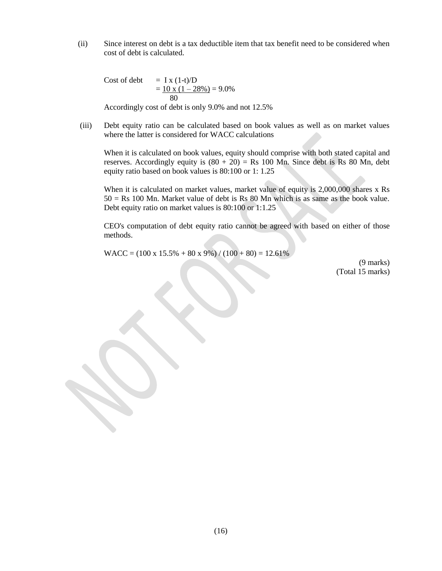(ii) Since interest on debt is a tax deductible item that tax benefit need to be considered when cost of debt is calculated.

Cost of debt  $= I x (1-t)/D$  $= 10 \times (1 - 28\%) = 9.0\%$ 80

Accordingly cost of debt is only 9.0% and not 12.5%

(iii) Debt equity ratio can be calculated based on book values as well as on market values where the latter is considered for WACC calculations

When it is calculated on book values, equity should comprise with both stated capital and reserves. Accordingly equity is  $(80 + 20) =$ Rs 100 Mn. Since debt is Rs 80 Mn, debt equity ratio based on book values is 80:100 or 1: 1.25

When it is calculated on market values, market value of equity is 2,000,000 shares x Rs  $50 = Rs 100 Mn$ . Market value of debt is Rs 80 Mn which is as same as the book value. Debt equity ratio on market values is 80:100 or 1:1.25

CEO's computation of debt equity ratio cannot be agreed with based on either of those methods.

 $WACC = (100 \times 15.5\% + 80 \times 9\%) / (100 + 80) = 12.61\%$ 

(9 marks) (Total 15 marks)